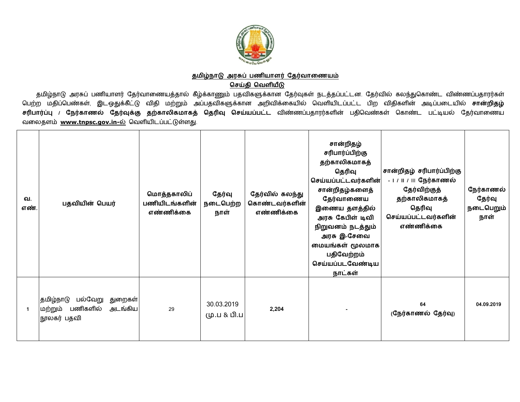

## <u>தமிழ்நாடு அரசுப் பணியாளர் தேர்வாணையம்</u> **ெசதி ெவளய**

தமிழ்நாடு அரசுப் பணியாளர் தேர்வாணையத்தால் கீழ்க்காணும் பதவிகளுக்கான தேர்வுகள் நடத்தப்பட்டன. தேர்வில் கலந்துகொண்ட விண்ணப்பதாரர்கள் பெற்ற மதிப்பெண்கள், இடஒதுக்கீட்டு விதி மற்றும் அப்பதவிகளுக்கான அறிவிக்கையில் வெளியிடப்பட்ட பிற விதிகளின் அடிப்படையில் **சான்றிதழ்** <mark>சரிபார்ப்பு / நேர்காணல் தேர்வுக்கு தற்காலிகமாகத் தெரிவு செய்யப்பட்ட விண்ணப்பதாரர்களின் பதிவெண்கள் கொண்ட பட்டியல் தேர்வாணைய</mark> வலைதளம் www.tnpsc.gov.in-ல் வெளியிடப்பட்டுள்ளது.

| வ.<br>எண் | பதவியின் பெயர்                                                                    | மொத்தகாலிப்<br>பணியிடங்களின்<br>எண்ணிக்கை | தேர்வு<br>நடைபெற்ற<br>நாள் | தேர்வில் கலந்து<br>கொண்டவர்களின்<br>எண்ணிக்கை | சான்றிதழ்<br>சரிபார்ப்பிற்கு<br>தற்காலிகமாகத்<br>தெரிவு<br>செய்யப்பட்டவர்களின்<br>சான்றிதழ்களைத்<br>தேர்வாணைய<br>இணைய தளத்தில்<br>அரசு கேபிள் டிவி<br>நிறுவனம் நடத்தும்<br>அரசு இ-சேவை<br>மையங்கள் மூலமாக<br>பதிவேற்றம்<br>செய்யப்படவேண்டிய<br>நாட்கள் | சான்றிதழ் சரிபார்ப்பிற்கு<br>- 1 / 11 / 111 நேர்காணல்<br>தேர்விற்குத்<br>தற்காலிகமாகத்<br>தெரிவு<br>செய்யப்பட்டவர்களின்<br>எண்ணிக்கை | நேர்காணல்<br>தேர்வு<br>நடைபெறும்<br>நாள் |
|-----------|-----------------------------------------------------------------------------------|-------------------------------------------|----------------------------|-----------------------------------------------|--------------------------------------------------------------------------------------------------------------------------------------------------------------------------------------------------------------------------------------------------------|--------------------------------------------------------------------------------------------------------------------------------------|------------------------------------------|
| -1        | பல்வேறு<br> தமிழ்நாடு<br>துறைகள்<br>பணிகளில்<br>அடங்கிய<br>மற்றும்<br>நூலகர் பதவி | 29                                        | 30.03.2019<br>மு.ப & பி.ப  | 2,204                                         |                                                                                                                                                                                                                                                        | 64<br>(நேர்காணல் தேர்வு)                                                                                                             | 04.09.2019                               |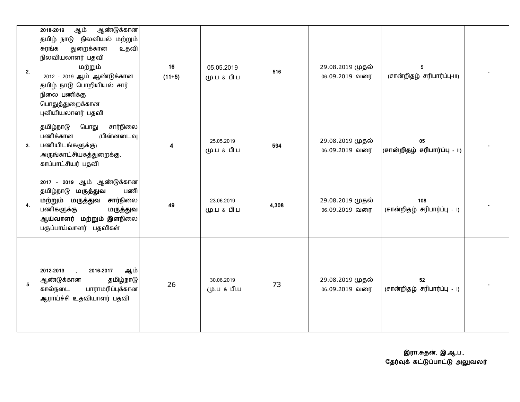| 2. | ஆண்டுக்கான<br>ஆம்<br>2018-2019<br>நிலவியல் மற்றும்<br>தமிழ் நாடு<br>துறைக்கான<br>சுரங்க<br>உதவி<br>நிலவியலாளர் பதவி<br>மற்றும்<br>2012 - 2019 ஆம் ஆண்டுக்கான<br>தமிழ் நாடு பொறியியல் சார்<br>நிலை பணிக்கு<br>பொதுத்துறைக்கான<br>புவியியலாளர் பதவி | 16<br>$(11+5)$          | 05.05.2019<br>மு.ப & பி.ப | 516   | 29.08.2019 முதல்<br>06.09.2019 வரை | 5<br>(சான்றிதழ் சரிபார்ப்பு-III)   |  |
|----|---------------------------------------------------------------------------------------------------------------------------------------------------------------------------------------------------------------------------------------------------|-------------------------|---------------------------|-------|------------------------------------|------------------------------------|--|
| 3. | சார்நிலை<br>பொது<br>தமிழ்நாடு<br>பணிக்கான<br>பின்னடைவு<br>பணியிடங்களுக்கு)<br>அருங்காட்சியகத்துறைக்கு,<br>காப்பாட்சியர் பதவி                                                                                                                      | $\overline{\mathbf{4}}$ | 25.05.2019<br>மு.ப & பி.ப | 594   | 29.08.2019 முதல்<br>06.09.2019 வரை | 05<br>(சான்றிதழ் சரிபார்ப்பு - 11) |  |
| 4. | 2017 - 2019 ஆம் ஆண்டுக்கான<br>தமிழ்நாடு மருத்துவ<br>பணி<br>மற்றும் மருத்துவ சார்நிலை<br>பணிகளுக்கு<br>மருத்துவ<br>ஆய்வாளர் மற்றும் இளநிலை<br>பகுப்பாய்வாளர் பதவிகள்                                                                               | 49                      | 23.06.2019<br>மு.ப & பி.ப | 4,308 | 29.08.2019 முதல்<br>06.09.2019 வரை | 108<br>(சான்றிதழ் சரிபார்ப்பு - டு |  |
| 5  | 2012-2013<br>2016-2017<br>ஆம்<br>ஆண்டுக்கான<br>தமிழ்நாடு<br>கால்நடை<br>பாராமரிப்புக்கான<br>ஆராய்ச்சி உதவியாளர் பதவி                                                                                                                               | 26                      | 30.06.2019<br>மு.ப & பி.ப | 73    | 29.08.2019 முதல்<br>06.09.2019 வரை | 52<br>(சான்றிதழ் சரிபார்ப்பு - ۱)  |  |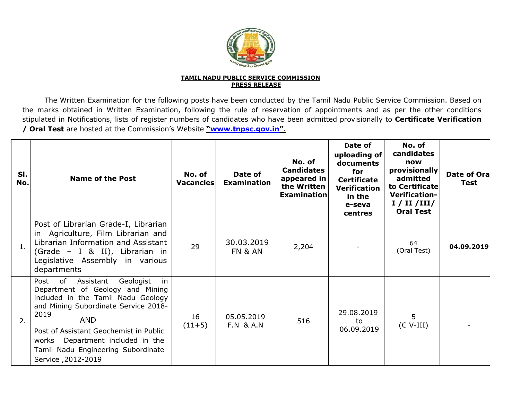

## **TAMIL NADU PUBLIC SERVICE COMMISSIONPRESS RELEASE**

The Written Examination for the following posts have been conducted by the Tamil Nadu Public Service Commission. Based on the marks obtained in Written Examination, following the rule of reservation of appointments and as per the other conditions stipulated in Notifications, lists of register numbers of candidates who have been admitted provisionally to **Certificate Verification / Oral Test** are hosted at the Commission's Website **"www.tnpsc.gov.in"**.

| SI.<br>No.     | <b>Name of the Post</b>                                                                                                                                                                                                                                                                                                         | No. of<br><b>Vacancies</b> | Date of<br><b>Examination</b>      | No. of<br><b>Candidates</b><br>appeared in<br>the Written<br><b>Examination</b> | Date of<br>uploading of<br>documents<br>for<br><b>Certificate</b><br><b>Verification</b><br>in the<br>e-seva<br>centres | No. of<br>candidates<br>now<br>provisionally<br>admitted<br>to Certificate<br><b>Verification-</b><br>I / II / III /<br><b>Oral Test</b> | Date of Ora<br><b>Test</b> |
|----------------|---------------------------------------------------------------------------------------------------------------------------------------------------------------------------------------------------------------------------------------------------------------------------------------------------------------------------------|----------------------------|------------------------------------|---------------------------------------------------------------------------------|-------------------------------------------------------------------------------------------------------------------------|------------------------------------------------------------------------------------------------------------------------------------------|----------------------------|
| $\mathbf{1}$ . | Post of Librarian Grade-I, Librarian<br>in Agriculture, Film Librarian and<br>Librarian Information and Assistant<br>(Grade - I & II), Librarian in<br>Legislative Assembly in various<br>departments                                                                                                                           | 29                         | 30.03.2019<br>FN & AN              | 2,204                                                                           |                                                                                                                         | 64<br>(Oral Test)                                                                                                                        | 04.09.2019                 |
| 2.             | Assistant<br>Geologist<br>in<br>Post<br>0f<br>Department of Geology and Mining<br>included in the Tamil Nadu Geology<br>and Mining Subordinate Service 2018-<br>2019<br><b>AND</b><br>Post of Assistant Geochemist in Public<br>Department included in the<br>works<br>Tamil Nadu Engineering Subordinate<br>Service, 2012-2019 | 16<br>$(11+5)$             | 05.05.2019<br><b>F.N &amp; A.N</b> | 516                                                                             | 29.08.2019<br>to<br>06.09.2019                                                                                          | 5<br>$(C V-III)$                                                                                                                         |                            |